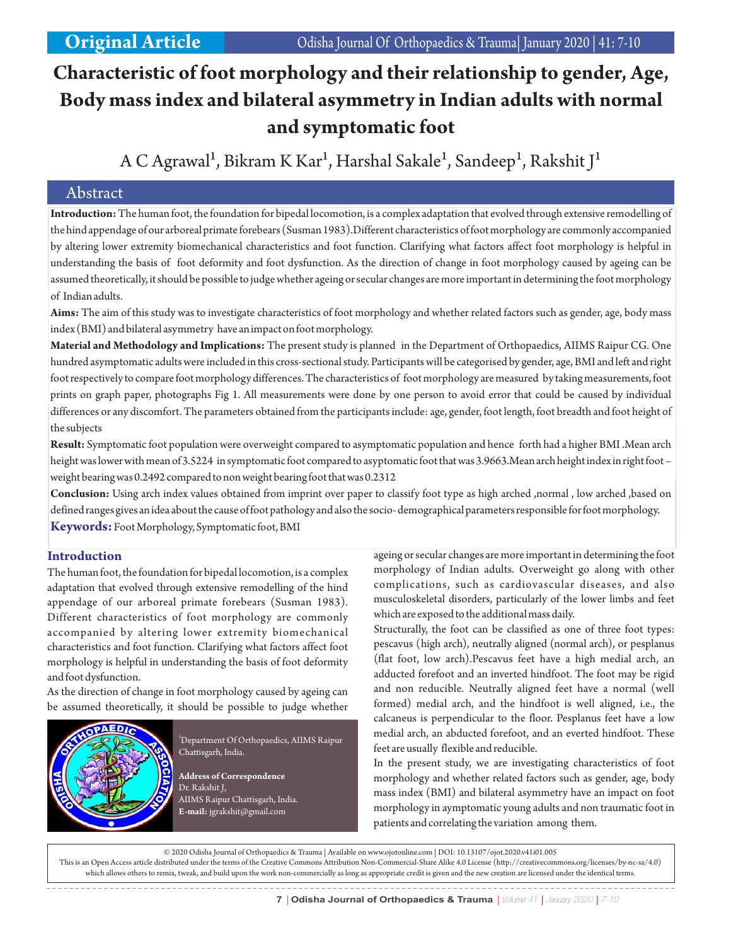# **Characteristic of foot morphology and their relationship to gender, Age, Body mass index and bilateral asymmetry in Indian adults with normal and symptomatic foot**

A C Agrawal<sup>1</sup>, Bikram K Kar<sup>1</sup>, Harshal Sakale<sup>1</sup>, Sandeep<sup>1</sup>, Rakshit J<sup>1</sup>

# Abstract

**Introduction:**The human foot, the foundation for bipedal locomotion, is a complex adaptation that evolved through extensive remodelling of the hind appendage of our arboreal primate forebears (Susman 1983).Different characteristics of foot morphology are commonly accompanied by altering lower extremity biomechanical characteristics and foot function. Clarifying what factors affect foot morphology is helpful in understanding the basis of foot deformity and foot dysfunction. As the direction of change in foot morphology caused by ageing can be assumed theoretically, it should be possible to judge whether ageing or secular changes are more important in determining the foot morphology of Indian adults.

**Aims:** The aim of this study was to investigate characteristics of foot morphology and whether related factors such as gender, age, body mass index (BMI) and bilateral asymmetry have an impact on foot morphology.

**Material and Methodology and Implications:** The present study is planned in the Department of Orthopaedics, AIIMS Raipur CG. One hundred asymptomatic adults were included in this cross-sectional study. Participants will be categorised by gender, age, BMI and left and right foot respectively to compare foot morphology differences. The characteristics of foot morphology are measured by taking measurements, foot prints on graph paper, photographs Fig 1. All measurements were done by one person to avoid error that could be caused by individual differences or any discomfort. The parameters obtained from the participants include: age, gender, foot length, foot breadth and foot height of the subjects

**Result:** Symptomatic foot population were overweight compared to asymptomatic population and hence forth had a higher BMI .Mean arch height was lower with mean of 3.5224 in symptomatic foot compared to asyptomatic foot that was 3.9663.Mean arch height index in right foot – weight bearing was 0.2492 compared to non weight bearing foot that was 0.2312

**Conclusion:** Using arch index values obtained from imprint over paper to classify foot type as high arched ,normal , low arched ,based on defined ranges gives an idea about the cause of foot pathology and also the socio- demographical parameters responsible for foot morphology. **Keywords:** Foot Morphology, Symptomatic foot, BMI

# **Introduction**

The human foot, the foundation for bipedal locomotion, is a complex adaptation that evolved through extensive remodelling of the hind appendage of our arboreal primate forebears (Susman 1983). Different characteristics of foot morphology are commonly accompanied by altering lower extremity biomechanical characteristics and foot function. Clarifying what factors affect foot morphology is helpful in understanding the basis of foot deformity and foot dysfunction.

As the direction of change in foot morphology caused by ageing can be assumed theoretically, it should be possible to judge whether



 $^{1}$ Department Of Orthopaedics, AIIMS Raipur Chattisgarh, India.

**Address of Correspondence** Dr. Rakshit J, AIIMS Raipur Chattisgarh, India. **E-mail:** jgrakshit@gmail.com

ageing or secular changes are more important in determining the foot morphology of Indian adults. Overweight go along with other complications, such as cardiovascular diseases, and also musculoskeletal disorders, particularly of the lower limbs and feet which are exposed to the additional mass daily.

Structurally, the foot can be classified as one of three foot types: pescavus (high arch), neutrally aligned (normal arch), or pesplanus (flat foot, low arch).Pescavus feet have a high medial arch, an adducted forefoot and an inverted hindfoot. The foot may be rigid and non reducible. Neutrally aligned feet have a normal (well formed) medial arch, and the hindfoot is well aligned, i.e., the calcaneus is perpendicular to the floor. Pesplanus feet have a low medial arch, an abducted forefoot, and an everted hindfoot. These feet are usually flexible and reducible.

In the present study, we are investigating characteristics of foot morphology and whether related factors such as gender, age, body mass index (BMI) and bilateral asymmetry have an impact on foot morphology in aymptomatic young adults and non traumatic foot in patients and correlating the variation among them.

© 2020 Odisha Journal of Orthopaedics & Trauma | Available on www.ojotonline.com | DOI: 10.13107/ojot.2020.v41i01.005 This is an Open Access article distributed under the terms of the Creative Commons Attribution Non-Commercial-Share Alike 4.0 License (http://creativecommons.org/licenses/by-nc-sa/4.0) which allows others to remix, tweak, and build upon the work non-commercially as long as appropriate credit is given and the new creation are licensed under the identical terms.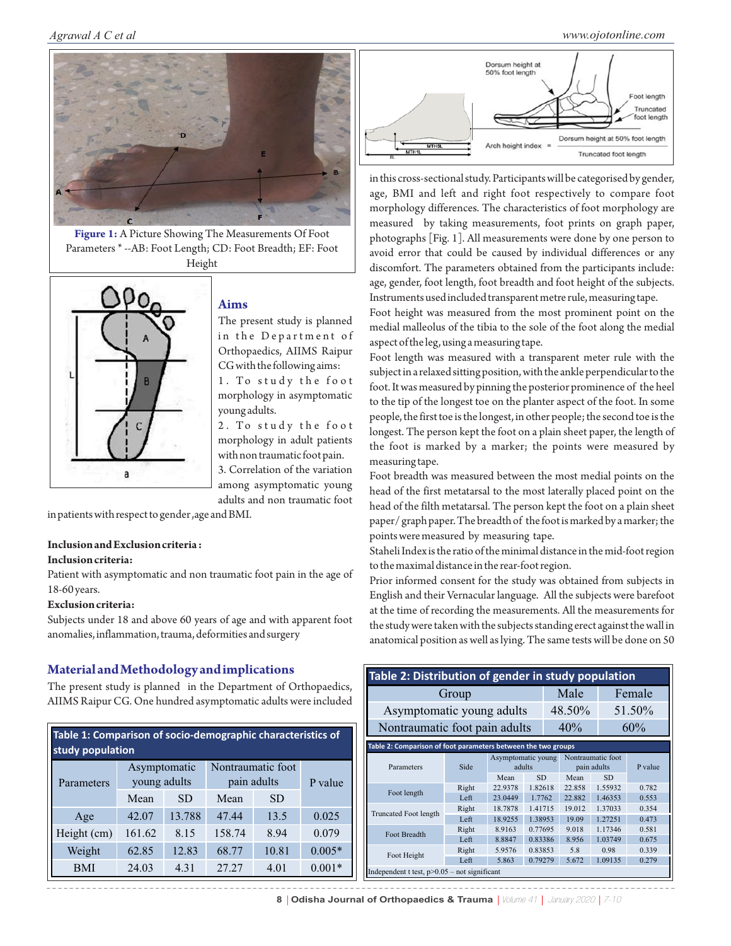

**Figure 1:** A Picture Showing The Measurements Of Foot Parameters \* --AB: Foot Length; CD: Foot Breadth; EF: Foot Height



## **Aims**

The present study is planned in the Department of Orthopaedics, AIIMS Raipur CG with the following aims:

1. To study the foot morphology in asymptomatic young adults.

2. To study the foot morphology in adult patients with non traumatic foot pain.

3. Correlation of the variation among asymptomatic young adults and non traumatic foot

in patients with respect to gender ,age and BMI.

#### **Inclusion and Exclusion criteria :**

#### **Inclusion criteria:**

Patient with asymptomatic and non traumatic foot pain in the age of 18-60 years.

#### **Exclusion criteria:**

Subjects under 18 and above 60 years of age and with apparent foot anomalies, inflammation, trauma, deformities and surgery

# **Material and Methodology and implications**

The present study is planned in the Department of Orthopaedics, AIIMS Raipur CG. One hundred asymptomatic adults were included

| Table 1: Comparison of socio-demographic characteristics of<br>study population |              |           |                   |           |          |
|---------------------------------------------------------------------------------|--------------|-----------|-------------------|-----------|----------|
|                                                                                 | Asymptomatic |           | Nontraumatic foot |           |          |
| Parameters                                                                      | young adults |           | pain adults       |           | P value  |
|                                                                                 | Mean         | <b>SD</b> | Mean              | <b>SD</b> |          |
| Age                                                                             | 42.07        | 13.788    | 47.44             | 13.5      | 0.025    |
| Height (cm)                                                                     | 161.62       | 8.15      | 158.74            | 8.94      | 0.079    |
| Weight                                                                          | 62.85        | 12.83     | 68.77             | 10.81     | $0.005*$ |
| <b>BMI</b>                                                                      | 24.03        | 4.31      | 27.27             | 4.01      | $0.001*$ |



in this cross-sectional study. Participants will be categorised by gender, age, BMI and left and right foot respectively to compare foot morphology differences. The characteristics of foot morphology are measured by taking measurements, foot prints on graph paper, photographs [Fig. 1]. All measurements were done by one person to avoid error that could be caused by individual differences or any discomfort. The parameters obtained from the participants include: age, gender, foot length, foot breadth and foot height of the subjects. Instruments used included transparent metre rule, measuring tape.

Foot height was measured from the most prominent point on the medial malleolus of the tibia to the sole of the foot along the medial aspect of the leg, using a measuring tape.

Foot length was measured with a transparent meter rule with the subject in a relaxed sitting position, with the ankle perpendicular to the foot. It was measured by pinning the posterior prominence of the heel to the tip of the longest toe on the planter aspect of the foot. In some people, the first toe is the longest, in other people; the second toe is the longest. The person kept the foot on a plain sheet paper, the length of the foot is marked by a marker; the points were measured by measuring tape.

Foot breadth was measured between the most medial points on the head of the first metatarsal to the most laterally placed point on the head of the filth metatarsal. The person kept the foot on a plain sheet paper/ graph paper. The breadth of the foot is marked by a marker; the points were measured by measuring tape.

Staheli Index is the ratio of the minimal distance in the mid-foot region to the maximal distance in the rear-foot region.

Prior informed consent for the study was obtained from subjects in English and their Vernacular language. All the subjects were barefoot at the time of recording the measurements. All the measurements for the study were taken with the subjects standing erect against the wall in anatomical position as well as lying. The same tests will be done on 50

| Table 2: Distribution of gender in study population           |       |                              |                      |  |                                  |                      |         |  |
|---------------------------------------------------------------|-------|------------------------------|----------------------|--|----------------------------------|----------------------|---------|--|
|                                                               | Group |                              |                      |  | Male                             |                      | Female  |  |
| Asymptomatic young adults                                     |       |                              |                      |  | 48.50%                           |                      | 51.50%  |  |
| Nontraumatic foot pain adults                                 |       |                              |                      |  | 40%                              |                      | 60%     |  |
| Table 2: Comparison of foot parameters between the two groups |       |                              |                      |  |                                  |                      |         |  |
| Parameters                                                    | Side  | Asymptomatic young<br>adults |                      |  | Nontraumatic foot<br>pain adults |                      | P value |  |
|                                                               | Right | Mean<br>22.9378              | <b>SD</b><br>1.82618 |  | Mean<br>22.858                   | <b>SD</b><br>1.55932 | 0.782   |  |
| Foot length                                                   | Left  | 23.0449                      | 1.7762               |  | 22.882                           | 1.46353              | 0.553   |  |
|                                                               | Right | 18.7878                      | 1.41715              |  | 19.012                           | 1.37033              | 0.354   |  |
| <b>Truncated Foot length</b>                                  | Left  | 18.9255                      | 1.38953              |  | 19.09                            | 1.27251              | 0.473   |  |
| <b>Foot Breadth</b>                                           | Right | 8.9163                       | 0.77695              |  | 9.018                            | 1.17346              | 0.581   |  |
|                                                               | Left  | 8.8847                       | 0.83386              |  | 8.956                            | 1.03749              | 0.675   |  |
| Foot Height                                                   | Right | 5.9576                       | 0.83853              |  | 5.8                              | 0.98                 | 0.339   |  |
|                                                               | Left  | 5.863                        | 0.79279              |  | 5.672                            | 1.09135              | 0.279   |  |
| Independent t test, $p > 0.05$ – not significant              |       |                              |                      |  |                                  |                      |         |  |

8 | Odisha Journal of Orthopaedics & Trauma | Volume 41 | January 2020 | 7-10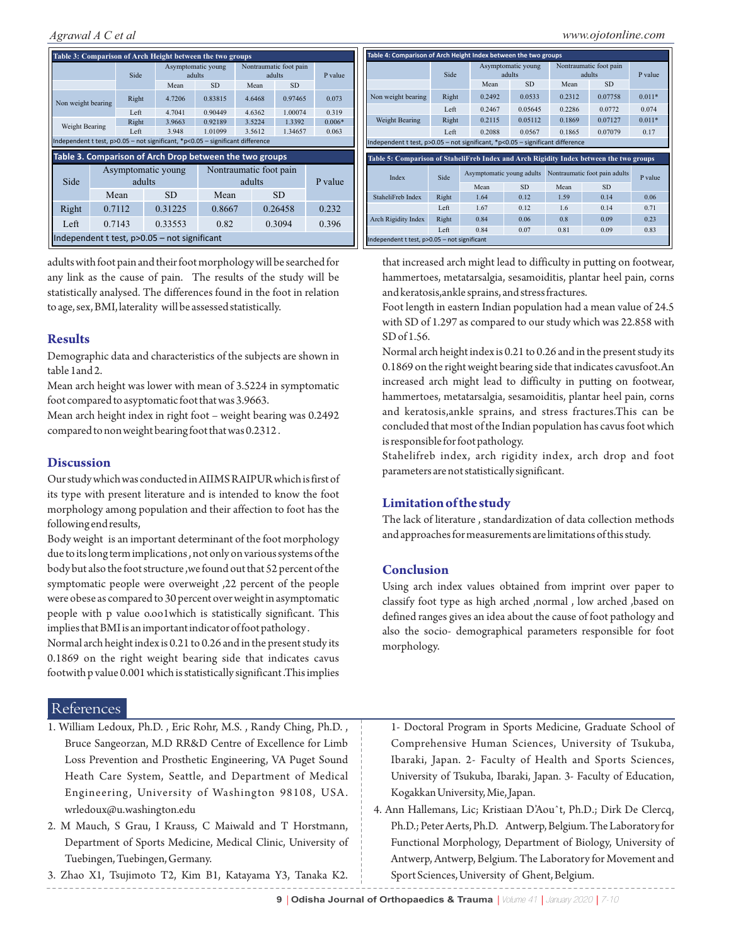|                                                                                                                                           |      |        | Table 3: Comparison of Arch Height between the two groups |                              |                        |                                  |          |  |  |  |
|-------------------------------------------------------------------------------------------------------------------------------------------|------|--------|-----------------------------------------------------------|------------------------------|------------------------|----------------------------------|----------|--|--|--|
|                                                                                                                                           |      | Side   |                                                           | Asymptomatic young<br>adults |                        | Nontraumatic foot pain<br>adults |          |  |  |  |
|                                                                                                                                           |      |        | Mean                                                      | <b>SD</b>                    | Mean                   | <b>SD</b>                        |          |  |  |  |
| Non weight bearing                                                                                                                        |      | Right  | 4.7206                                                    | 0.83815                      | 4.6468                 | 0.97465                          | 0.073    |  |  |  |
|                                                                                                                                           | Left |        | 4.7041                                                    | 0.90449                      | 4.6362                 | 1.00074                          | 0.319    |  |  |  |
| Weight Bearing                                                                                                                            |      | Right  | 3.9663                                                    | 0.92189                      | 3.5224                 | 1.3392                           | $0.006*$ |  |  |  |
|                                                                                                                                           |      | Left   | 3.948                                                     | 1.01099                      | 3.5612                 | 1.34657                          | 0.063    |  |  |  |
|                                                                                                                                           |      |        |                                                           |                              |                        |                                  |          |  |  |  |
| Independent t test, p>0.05 - not significant, *p<0.05 - significant difference<br>Table 3. Comparison of Arch Drop between the two groups |      |        |                                                           |                              |                        |                                  |          |  |  |  |
|                                                                                                                                           |      |        |                                                           |                              |                        |                                  |          |  |  |  |
|                                                                                                                                           |      |        | Asymptomatic young                                        |                              | Nontraumatic foot pain |                                  |          |  |  |  |
| Side                                                                                                                                      |      | adults |                                                           |                              | adults                 |                                  | P value  |  |  |  |
|                                                                                                                                           |      | Mean   | <b>SD</b>                                                 | Mean                         |                        | <b>SD</b>                        |          |  |  |  |
| Right                                                                                                                                     |      | 0.7112 | 0.31225                                                   | 0.8667                       |                        | 0.26458                          | 0.232    |  |  |  |
| Left                                                                                                                                      |      | 0.7143 | 0.33553                                                   | 0.82                         |                        | 0.3094                           | 0.396    |  |  |  |

adults with foot pain and their foot morphology will be searched for any link as the cause of pain. The results of the study will be statistically analysed. The differences found in the foot in relation to age, sex, BMI, laterality will be assessed statistically.

# **Results**

Demographic data and characteristics of the subjects are shown in table 1and 2.

Mean arch height was lower with mean of 3.5224 in symptomatic foot compared to asyptomatic foot that was 3.9663.

Mean arch height index in right foot – weight bearing was 0.2492 compared to non weight bearing foot that was 0.2312 .

# **Discussion**

Our study which was conducted in AIIMS RAIPUR which is first of its type with present literature and is intended to know the foot morphology among population and their affection to foot has the following end results,

Body weight is an important determinant of the foot morphology due to its long term implications , not only on various systems of the body but also the foot structure ,we found out that 52 percent of the symptomatic people were overweight ,22 percent of the people were obese as compared to 30 percent over weight in asymptomatic people with p value o.oo1which is statistically significant. This implies that BMI is an important indicator of foot pathology .

Normal arch height index is 0.21 to 0.26 and in the present study its 0.1869 on the right weight bearing side that indicates cavus footwith p value 0.001 which is statistically significant .This implies

# References

- 1. William Ledoux, Ph.D. , Eric Rohr, M.S. , Randy Ching, Ph.D. , Bruce Sangeorzan, M.D RR&D Centre of Excellence for Limb Loss Prevention and Prosthetic Engineering, VA Puget Sound Heath Care System, Seattle, and Department of Medical Engineering, University of Washington 98108, USA. wrledoux@u.washington.edu
- 2. M Mauch, S Grau, I Krauss, C Maiwald and T Horstmann, Department of Sports Medicine, Medical Clinic, University of Tuebingen, Tuebingen, Germany.
- 3. Zhao X1, Tsujimoto T2, Kim B1, Katayama Y3, Tanaka K2.

|                                                                                                  | Side  |                           | Asymptomatic young<br>adults |        | Nontraumatic foot pain<br>adults |                 |
|--------------------------------------------------------------------------------------------------|-------|---------------------------|------------------------------|--------|----------------------------------|-----------------|
|                                                                                                  |       | Mean                      | <b>SD</b>                    | Mean   | <b>SD</b>                        |                 |
| Non weight bearing                                                                               | Right | 0.2492                    | 0.0533                       | 0.2312 | 0.07758                          | $0.011*$        |
|                                                                                                  | Left  | 0.2467                    | 0.05645                      | 0.2286 | 0.0772                           | 0.074           |
| Weight Bearing                                                                                   | Right | 0.2115                    | 0.05112                      | 0.1869 | 0.07127                          | $0.011*$        |
|                                                                                                  |       | 0.2088                    | 0.0567                       | 0.1865 | 0.07079                          | 0.17            |
| Independent t test, p>0.05 - not significant, *p<0.05 - significant difference                   | Left  |                           |                              |        |                                  |                 |
| Table 5: Comparison of StaheliFreb Index and Arch Rigidity Index between the two groups<br>Index | Side  | Asymptomatic young adults |                              |        | Nontraumatic foot pain adults    |                 |
|                                                                                                  |       | Mean                      | <b>SD</b>                    | Mean   | <b>SD</b>                        |                 |
| StaheliFreb Index                                                                                | Right | 1.64                      | 0.12                         | 1.59   | 0.14                             | 0.06            |
|                                                                                                  | Left  | 1.67                      | 0.12                         | 1.6    | 0.14                             | 0.71            |
| Arch Rigidity Index                                                                              | Right | 0.84                      | 0.06                         | 0.8    | 0.09                             | P value<br>0.23 |

that increased arch might lead to difficulty in putting on footwear, hammertoes, metatarsalgia, sesamoiditis, plantar heel pain, corns and keratosis,ankle sprains, and stress fractures.

Foot length in eastern Indian population had a mean value of 24.5 with SD of 1.297 as compared to our study which was 22.858 with SD of 1.56.

Normal arch height index is 0.21 to 0.26 and in the present study its 0.1869 on the right weight bearing side that indicates cavusfoot.An increased arch might lead to difficulty in putting on footwear, hammertoes, metatarsalgia, sesamoiditis, plantar heel pain, corns and keratosis,ankle sprains, and stress fractures.This can be concluded that most of the Indian population has cavus foot which is responsible for foot pathology.

Stahelifreb index, arch rigidity index, arch drop and foot parameters are not statistically significant.

## **Limitation of the study**

The lack of literature , standardization of data collection methods and approaches for measurements are limitations of this study.

## **Conclusion**

Using arch index values obtained from imprint over paper to classify foot type as high arched ,normal , low arched ,based on defined ranges gives an idea about the cause of foot pathology and also the socio- demographical parameters responsible for foot morphology.

1- Doctoral Program in Sports Medicine, Graduate School of Comprehensive Human Sciences, University of Tsukuba, Ibaraki, Japan. 2- Faculty of Health and Sports Sciences, University of Tsukuba, Ibaraki, Japan. 3- Faculty of Education, Kogakkan University, Mie, Japan.

4. Ann Hallemans, Lic; Kristiaan D'Aouˆt, Ph.D.; Dirk De Clercq, Ph.D.; Peter Aerts, Ph.D. Antwerp, Belgium. The Laboratory for Functional Morphology, Department of Biology, University of Antwerp, Antwerp, Belgium. The Laboratory for Movement and Sport Sciences, University of Ghent, Belgium.